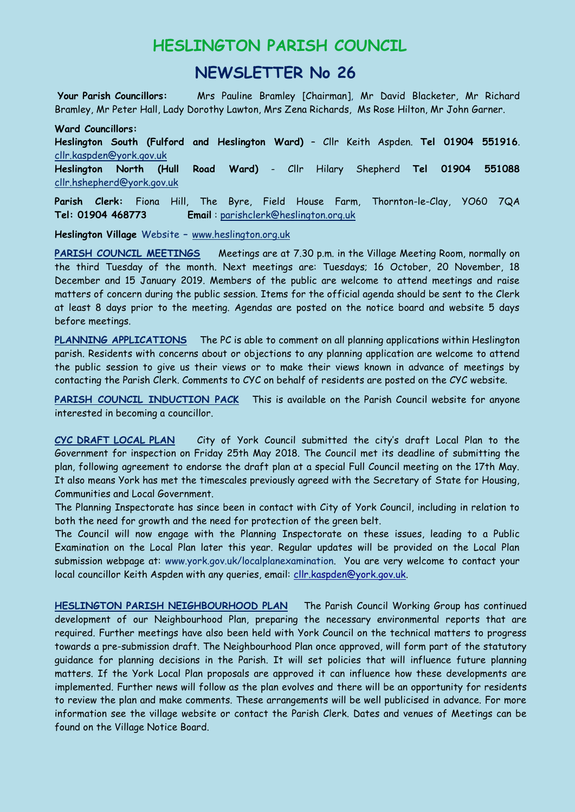## **HESLINGTON PARISH COUNCIL**

## **NEWSLETTER No 26**

**Your Parish Councillors:** Mrs Pauline Bramley [Chairman], Mr David Blacketer, Mr Richard Bramley, Mr Peter Hall, Lady Dorothy Lawton, Mrs Zena Richards, Ms Rose Hilton, Mr John Garner.

**Ward Councillors: Heslington South (Fulford and Heslington Ward)** – Cllr Keith Aspden. **Tel 01904 551916**. [cllr.kaspden@york.gov.uk](mailto:cllr.kaspden@york.gov.uk) **Heslington North (Hull Road Ward)** - Cllr Hilary Shepherd **Tel 01904 551088** [cllr.hshepherd@york.gov.uk](mailto:cllr.hshepherd@york.gov.uk)

**Parish Clerk:** Fiona Hill, The Byre, Field House Farm, Thornton-le-Clay, YO60 7QA **Tel: 01904 468773 Email** : parishclerk@heslington.org.uk

**Heslington Village** Website **–** [www.heslington.org.uk](http://www.heslington.org.uk/)

**PARISH COUNCIL MEETINGS** Meetings are at 7.30 p.m. in the Village Meeting Room, normally on the third Tuesday of the month. Next meetings are: Tuesdays; 16 October, 20 November, 18 December and 15 January 2019. Members of the public are welcome to attend meetings and raise matters of concern during the public session. Items for the official agenda should be sent to the Clerk at least 8 days prior to the meeting. Agendas are posted on the notice board and website 5 days before meetings.

**PLANNING APPLICATIONS** The PC is able to comment on all planning applications within Heslington parish. Residents with concerns about or objections to any planning application are welcome to attend the public session to give us their views or to make their views known in advance of meetings by contacting the Parish Clerk. Comments to CYC on behalf of residents are posted on the CYC website.

**PARISH COUNCIL INDUCTION PACK** This is available on the Parish Council website for anyone interested in becoming a councillor.

**CYC DRAFT LOCAL PLAN** City of York Council submitted the city's draft Local Plan to the Government for inspection on Friday 25th May 2018. The Council met its deadline of submitting the plan, following agreement to endorse the draft plan at a special Full Council meeting on the 17th May. It also means York has met the timescales previously agreed with the Secretary of State for Housing, Communities and Local Government.

The Planning Inspectorate has since been in contact with City of York Council, including in relation to both the need for growth and the need for protection of the green belt.

The Council will now engage with the Planning Inspectorate on these issues, leading to a Public Examination on the Local Plan later this year. Regular updates will be provided on the Local Plan submission webpage at: www.york.gov.uk/localplanexamination. You are very welcome to contact your local councillor Keith Aspden with any queries, email: [cllr.kaspden@york.gov.uk.](mailto:cllr.kaspden@york.gov.uk)

**HESLINGTON PARISH NEIGHBOURHOOD PLAN** The Parish Council Working Group has continued development of our Neighbourhood Plan, preparing the necessary environmental reports that are required. Further meetings have also been held with York Council on the technical matters to progress towards a pre-submission draft. The Neighbourhood Plan once approved, will form part of the statutory guidance for planning decisions in the Parish. It will set policies that will influence future planning matters. If the York Local Plan proposals are approved it can influence how these developments are implemented. Further news will follow as the plan evolves and there will be an opportunity for residents to review the plan and make comments. These arrangements will be well publicised in advance. For more information see the village website or contact the Parish Clerk. Dates and venues of Meetings can be found on the Village Notice Board.